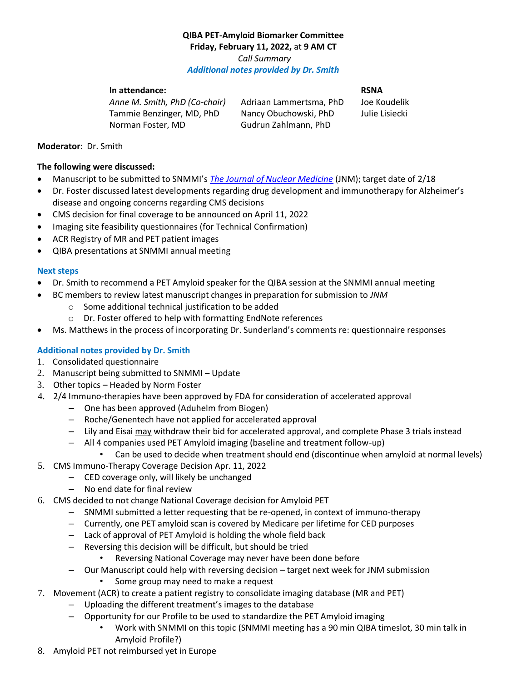# **QIBA PET-Amyloid Biomarker Committee Friday, February 11, 2022,** at **9 AM CT** *Call Summary Additional notes provided by Dr. Smith*

## **In attendance: RSNA**

*Anne M. Smith, PhD (Co-chair)* Adriaan Lammertsma, PhD Joe Koudelik Tammie Benzinger, MD, PhD Nancy Obuchowski, PhD Julie Lisiecki Norman Foster, MD Gudrun Zahlmann, PhD

### **Moderator**: Dr. Smith

### **The following were discussed:**

- Manuscript to be submitted to SNMMI's *The [Journal of Nuclear Medicine](https://jnm.snmjournals.org/)* (JNM); target date of 2/18
- Dr. Foster discussed latest developments regarding drug development and immunotherapy for Alzheimer's disease and ongoing concerns regarding CMS decisions
- CMS decision for final coverage to be announced on April 11, 2022
- Imaging site feasibility questionnaires (for Technical Confirmation)
- ACR Registry of MR and PET patient images
- QIBA presentations at SNMMI annual meeting

### **Next steps**

- Dr. Smith to recommend a PET Amyloid speaker for the QIBA session at the SNMMI annual meeting
- BC members to review latest manuscript changes in preparation for submission to *JNM*
	- o Some additional technical justification to be added
	- o Dr. Foster offered to help with formatting EndNote references
- Ms. Matthews in the process of incorporating Dr. Sunderland's comments re: questionnaire responses

## **Additional notes provided by Dr. Smith**

- 1. Consolidated questionnaire
- 2. Manuscript being submitted to SNMMI Update
- 3. Other topics Headed by Norm Foster
- 4. 2/4 Immuno-therapies have been approved by FDA for consideration of accelerated approval
	- One has been approved (Aduhelm from Biogen)
	- Roche/Genentech have not applied for accelerated approval
	- Lily and Eisai may withdraw their bid for accelerated approval, and complete Phase 3 trials instead
	- All 4 companies used PET Amyloid imaging (baseline and treatment follow-up)
		- Can be used to decide when treatment should end (discontinue when amyloid at normal levels)
- 5. CMS Immuno-Therapy Coverage Decision Apr. 11, 2022
	- CED coverage only, will likely be unchanged
	- No end date for final review
- 6. CMS decided to not change National Coverage decision for Amyloid PET
	- SNMMI submitted a letter requesting that be re-opened, in context of immuno-therapy
	- Currently, one PET amyloid scan is covered by Medicare per lifetime for CED purposes
	- Lack of approval of PET Amyloid is holding the whole field back
	- Reversing this decision will be difficult, but should be tried
		- Reversing National Coverage may never have been done before
	- Our Manuscript could help with reversing decision target next week for JNM submission
		- Some group may need to make a request
- 7. Movement (ACR) to create a patient registry to consolidate imaging database (MR and PET)
	- Uploading the different treatment's images to the database
	- Opportunity for our Profile to be used to standardize the PET Amyloid imaging
		- Work with SNMMI on this topic (SNMMI meeting has a 90 min QIBA timeslot, 30 min talk in Amyloid Profile?)
- 8. Amyloid PET not reimbursed yet in Europe